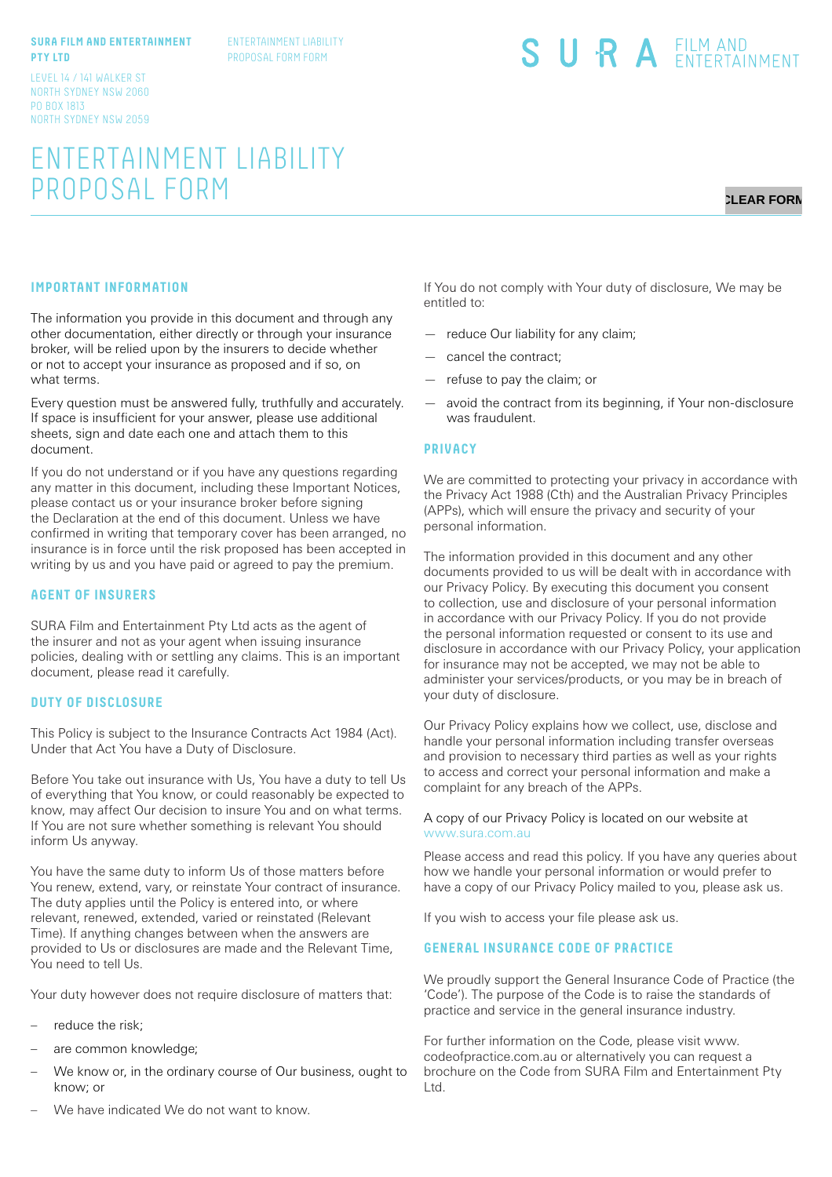#### **SURA FILM AND ENTERTAINMENT PTY LTD**

ENTERTAINMENT LIABILITY PROPOSAL FORM FORM

LEVEL 14 / 141 WALKER ST NORTH SYDNEY NSW 2060 PO BOX 1813 NORTH SYDNEY NSW 2059

# ENTERTAINMENT LIABILITY PROPOSAL FORM

# **CLEAR FORM**

## **IMPORTANT INFORMATION**

The information you provide in this document and through any other documentation, either directly or through your insurance broker, will be relied upon by the insurers to decide whether or not to accept your insurance as proposed and if so, on what terms.

Every question must be answered fully, truthfully and accurately. If space is insufficient for your answer, please use additional sheets, sign and date each one and attach them to this document.

If you do not understand or if you have any questions regarding any matter in this document, including these Important Notices, please contact us or your insurance broker before signing the Declaration at the end of this document. Unless we have confirmed in writing that temporary cover has been arranged, no insurance is in force until the risk proposed has been accepted in writing by us and you have paid or agreed to pay the premium.

#### **AGENT OF INSURERS**

SURA Film and Entertainment Pty Ltd acts as the agent of the insurer and not as your agent when issuing insurance policies, dealing with or settling any claims. This is an important document, please read it carefully.

#### **DUTY OF DISCLOSURE**

This Policy is subject to the Insurance Contracts Act 1984 (Act). Under that Act You have a Duty of Disclosure.

Before You take out insurance with Us, You have a duty to tell Us of everything that You know, or could reasonably be expected to know, may affect Our decision to insure You and on what terms. If You are not sure whether something is relevant You should inform Us anyway.

You have the same duty to inform Us of those matters before You renew, extend, vary, or reinstate Your contract of insurance. The duty applies until the Policy is entered into, or where relevant, renewed, extended, varied or reinstated (Relevant Time). If anything changes between when the answers are provided to Us or disclosures are made and the Relevant Time, You need to tell Us.

Your duty however does not require disclosure of matters that:

- reduce the risk;
- are common knowledge;
- We know or, in the ordinary course of Our business, ought to know; or

If You do not comply with Your duty of disclosure, We may be entitled to:

SURA EILM AND

- reduce Our liability for any claim;
- cancel the contract;
- refuse to pay the claim; or
- avoid the contract from its beginning, if Your non-disclosure was fraudulent.

#### **PRIVACY**

We are committed to protecting your privacy in accordance with the Privacy Act 1988 (Cth) and the Australian Privacy Principles (APPs), which will ensure the privacy and security of your personal information.

The information provided in this document and any other documents provided to us will be dealt with in accordance with our Privacy Policy. By executing this document you consent to collection, use and disclosure of your personal information in accordance with our Privacy Policy. If you do not provide the personal information requested or consent to its use and disclosure in accordance with our Privacy Policy, your application for insurance may not be accepted, we may not be able to administer your services/products, or you may be in breach of your duty of disclosure.

Our Privacy Policy explains how we collect, use, disclose and handle your personal information including transfer overseas and provision to necessary third parties as well as your rights to access and correct your personal information and make a complaint for any breach of the APPs.

#### A copy of our Privacy Policy is located on our website at www.sura.com.au

Please access and read this policy. If you have any queries about how we handle your personal information or would prefer to have a copy of our Privacy Policy mailed to you, please ask us.

If you wish to access your file please ask us.

### **GENERAL INSURANCE CODE OF PRACTICE**

We proudly support the General Insurance Code of Practice (the 'Code'). The purpose of the Code is to raise the standards of practice and service in the general insurance industry.

For further information on the Code, please visit www. codeofpractice.com.au or alternatively you can request a brochure on the Code from SURA Film and Entertainment Pty Ltd.

We have indicated We do not want to know.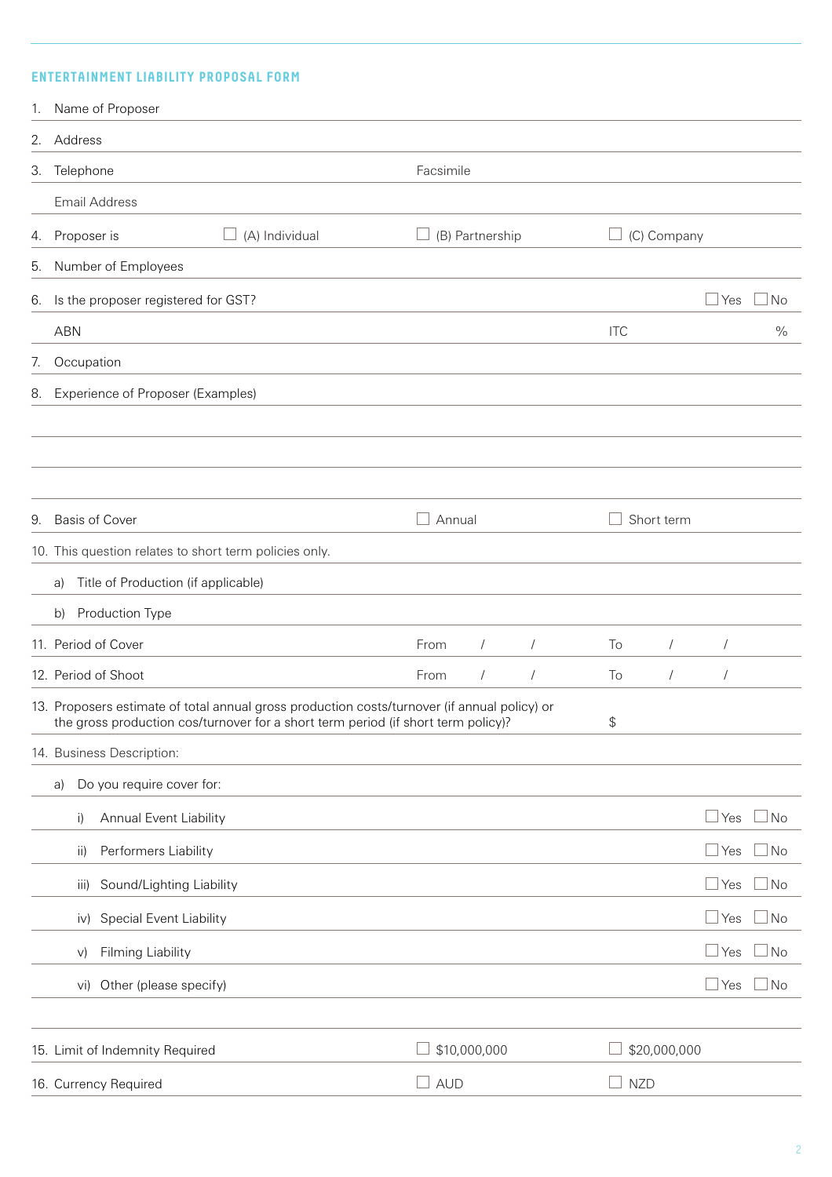## **ENTERTAINMENT LIABILITY PROPOSAL FORM**

|    | 1. Name of Proposer                                                                                                                                                               |              |                 |            |            |              |                |              |
|----|-----------------------------------------------------------------------------------------------------------------------------------------------------------------------------------|--------------|-----------------|------------|------------|--------------|----------------|--------------|
|    | 2. Address                                                                                                                                                                        |              |                 |            |            |              |                |              |
|    | 3. Telephone                                                                                                                                                                      | Facsimile    |                 |            |            |              |                |              |
|    | <b>Email Address</b>                                                                                                                                                              |              |                 |            |            |              |                |              |
|    | 4. Proposer is<br>(A) Individual                                                                                                                                                  |              | (B) Partnership |            |            | (C) Company  |                |              |
|    | 5. Number of Employees                                                                                                                                                            |              |                 |            |            |              |                |              |
|    | 6. Is the proposer registered for GST?                                                                                                                                            |              |                 |            |            |              | $\Box$ Yes     | <b>No</b>    |
|    | <b>ABN</b>                                                                                                                                                                        |              |                 |            | <b>ITC</b> |              |                | $\%$         |
| 7. | Occupation                                                                                                                                                                        |              |                 |            |            |              |                |              |
|    | 8. Experience of Proposer (Examples)                                                                                                                                              |              |                 |            |            |              |                |              |
|    |                                                                                                                                                                                   |              |                 |            |            |              |                |              |
|    |                                                                                                                                                                                   |              |                 |            |            |              |                |              |
|    |                                                                                                                                                                                   |              |                 |            |            |              |                |              |
| 9. | <b>Basis of Cover</b>                                                                                                                                                             | Annual       |                 |            | Short term |              |                |              |
|    | 10. This question relates to short term policies only.                                                                                                                            |              |                 |            |            |              |                |              |
|    | Title of Production (if applicable)<br>a)                                                                                                                                         |              |                 |            |            |              |                |              |
|    | Production Type<br>b)                                                                                                                                                             |              |                 |            |            |              |                |              |
|    | 11. Period of Cover                                                                                                                                                               | From         | $\sqrt{2}$      | $\sqrt{2}$ | To         | $\sqrt{2}$   | $\overline{1}$ |              |
|    | 12. Period of Shoot                                                                                                                                                               | From         | $\sqrt{2}$      | $\sqrt{2}$ | To         | $\sqrt{2}$   | $\overline{1}$ |              |
|    | 13. Proposers estimate of total annual gross production costs/turnover (if annual policy) or<br>the gross production cos/turnover for a short term period (if short term policy)? |              |                 |            | \$         |              |                |              |
|    | 14. Business Description:                                                                                                                                                         |              |                 |            |            |              |                |              |
|    | Do you require cover for:<br>a)                                                                                                                                                   |              |                 |            |            |              |                |              |
|    | Annual Event Liability<br>$\mathsf{i}$                                                                                                                                            |              |                 |            |            |              | $\Box$ Yes     | $\square$ No |
|    | Performers Liability<br>ii)                                                                                                                                                       |              |                 |            |            |              | $\Box$ Yes     | $\Box$ No    |
|    | Sound/Lighting Liability<br>iii)                                                                                                                                                  |              |                 |            |            |              | $\Box$ Yes     | $\Box$ No    |
|    | Special Event Liability<br>iv)                                                                                                                                                    |              |                 |            |            |              | $\Box$ Yes     | $\Box$ No    |
|    | Filming Liability<br>V)                                                                                                                                                           |              |                 |            |            |              | $\Box$ Yes     | $\Box$ No    |
|    | Other (please specify)<br>vi)                                                                                                                                                     |              |                 |            |            |              | $\Box$ Yes     | $\Box$ No    |
|    |                                                                                                                                                                                   |              |                 |            |            |              |                |              |
|    | 15. Limit of Indemnity Required                                                                                                                                                   | \$10,000,000 |                 |            |            | \$20,000,000 |                |              |
|    | 16. Currency Required                                                                                                                                                             | <b>AUD</b>   |                 |            | <b>NZD</b> |              |                |              |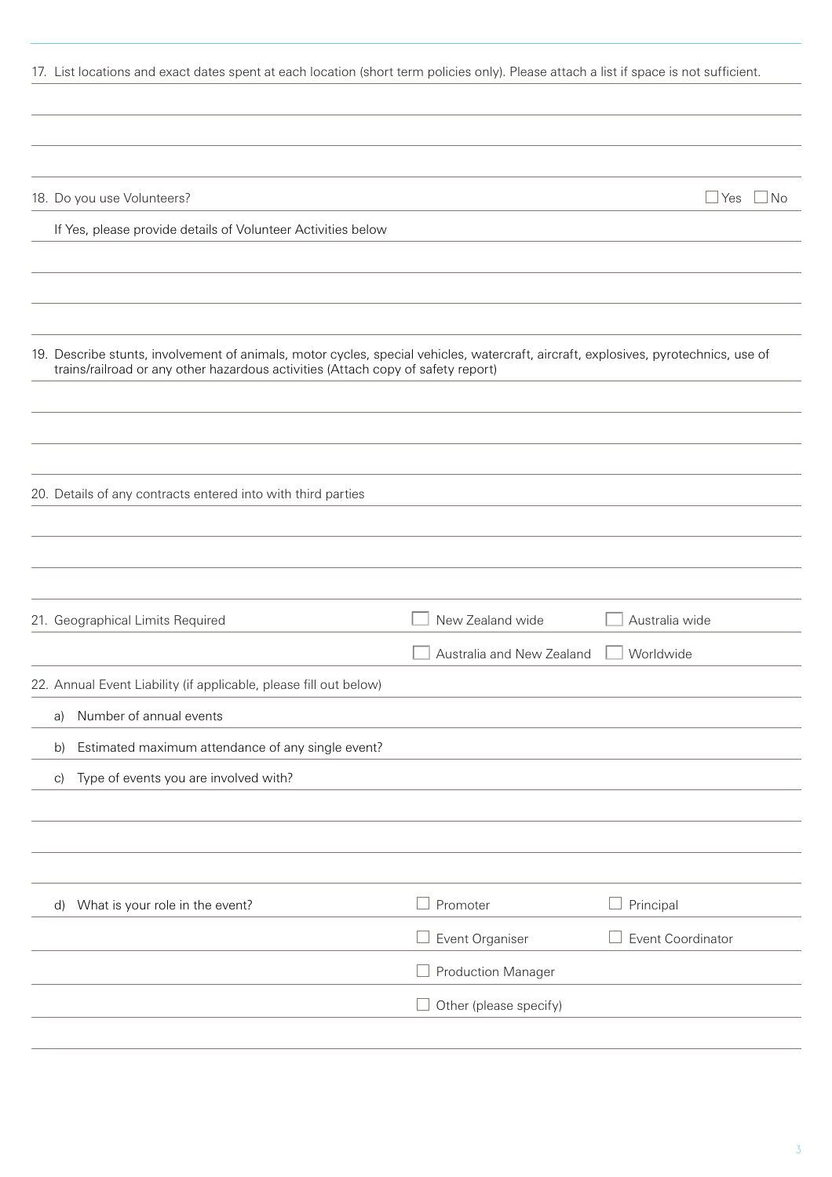|                                                                                  | 17. List locations and exact dates spent at each location (short term policies only). Please attach a list if space is not sufficient. |
|----------------------------------------------------------------------------------|----------------------------------------------------------------------------------------------------------------------------------------|
|                                                                                  |                                                                                                                                        |
| 18. Do you use Volunteers?                                                       | $\Box$ Yes $\Box$ No                                                                                                                   |
| If Yes, please provide details of Volunteer Activities below                     |                                                                                                                                        |
|                                                                                  |                                                                                                                                        |
| trains/railroad or any other hazardous activities (Attach copy of safety report) | 19. Describe stunts, involvement of animals, motor cycles, special vehicles, watercraft, aircraft, explosives, pyrotechnics, use of    |
|                                                                                  |                                                                                                                                        |
| 20. Details of any contracts entered into with third parties                     |                                                                                                                                        |
|                                                                                  |                                                                                                                                        |
| 21. Geographical Limits Required                                                 | Australia wide<br>New Zealand wide<br>Worldwide<br>Australia and New Zealand                                                           |
| 22. Annual Event Liability (if applicable, please fill out below)                |                                                                                                                                        |
| Number of annual events<br>a)                                                    |                                                                                                                                        |
| Estimated maximum attendance of any single event?<br>b)                          |                                                                                                                                        |
| Type of events you are involved with?<br>$\vert$ C)                              |                                                                                                                                        |
|                                                                                  |                                                                                                                                        |
| What is your role in the event?<br>$\mathsf{d}$                                  | Principal<br>Promoter                                                                                                                  |
|                                                                                  | Event Organiser<br>Event Coordinator                                                                                                   |
|                                                                                  | <b>Production Manager</b>                                                                                                              |
|                                                                                  | Other (please specify)                                                                                                                 |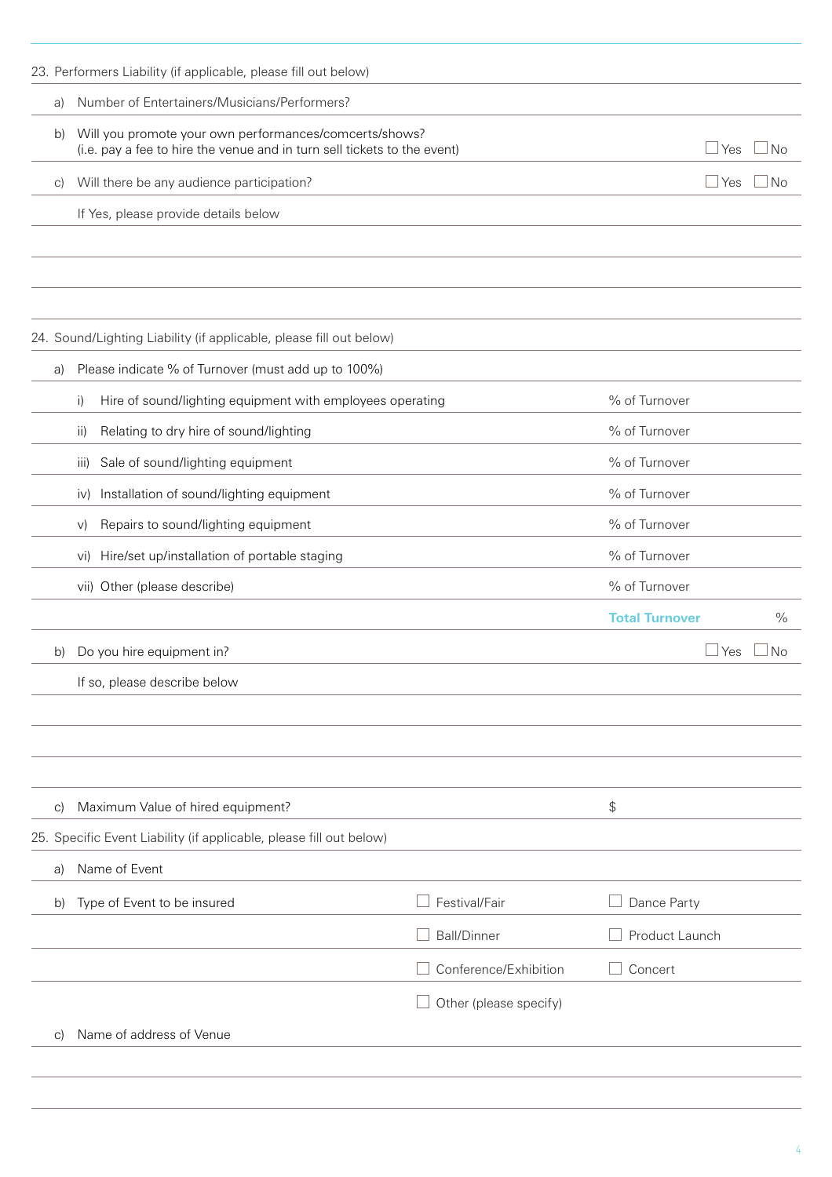|    | 23. Performers Liability (if applicable, please fill out below)                                                                    |                        |                                        |
|----|------------------------------------------------------------------------------------------------------------------------------------|------------------------|----------------------------------------|
| a) | Number of Entertainers/Musicians/Performers?                                                                                       |                        |                                        |
| b) | Will you promote your own performances/comcerts/shows?<br>(i.e. pay a fee to hire the venue and in turn sell tickets to the event) |                        | $\sqcup$ Yes<br>⊥No                    |
| C) | Will there be any audience participation?                                                                                          |                        | $\Box$ Yes<br>No.                      |
|    | If Yes, please provide details below                                                                                               |                        |                                        |
|    |                                                                                                                                    |                        |                                        |
|    |                                                                                                                                    |                        |                                        |
|    |                                                                                                                                    |                        |                                        |
|    | 24. Sound/Lighting Liability (if applicable, please fill out below)                                                                |                        |                                        |
| a) | Please indicate % of Turnover (must add up to 100%)                                                                                |                        |                                        |
|    | Hire of sound/lighting equipment with employees operating<br>i)                                                                    |                        | % of Turnover                          |
|    | Relating to dry hire of sound/lighting<br>ii)                                                                                      |                        | % of Turnover                          |
|    | Sale of sound/lighting equipment<br>iii)                                                                                           |                        | % of Turnover                          |
|    | Installation of sound/lighting equipment<br>iv)                                                                                    |                        | % of Turnover                          |
|    | Repairs to sound/lighting equipment<br>V)                                                                                          |                        | % of Turnover                          |
|    | vi) Hire/set up/installation of portable staging                                                                                   |                        | % of Turnover                          |
|    | vii) Other (please describe)                                                                                                       |                        | % of Turnover                          |
|    |                                                                                                                                    |                        | <b>Total Turnover</b><br>$\frac{0}{0}$ |
| b) | Do you hire equipment in?                                                                                                          |                        | Yes<br>No                              |
|    | If so, please describe below                                                                                                       |                        |                                        |
|    |                                                                                                                                    |                        |                                        |
|    |                                                                                                                                    |                        |                                        |
|    |                                                                                                                                    |                        |                                        |
| C) | Maximum Value of hired equipment?                                                                                                  |                        | \$                                     |
|    | 25. Specific Event Liability (if applicable, please fill out below)                                                                |                        |                                        |
| a) | Name of Event                                                                                                                      |                        |                                        |
| b) | Type of Event to be insured                                                                                                        | Festival/Fair          | Dance Party                            |
|    |                                                                                                                                    | <b>Ball/Dinner</b>     | Product Launch                         |
|    |                                                                                                                                    | Conference/Exhibition  | Concert                                |
|    |                                                                                                                                    | Other (please specify) |                                        |
| C) | Name of address of Venue                                                                                                           |                        |                                        |
|    |                                                                                                                                    |                        |                                        |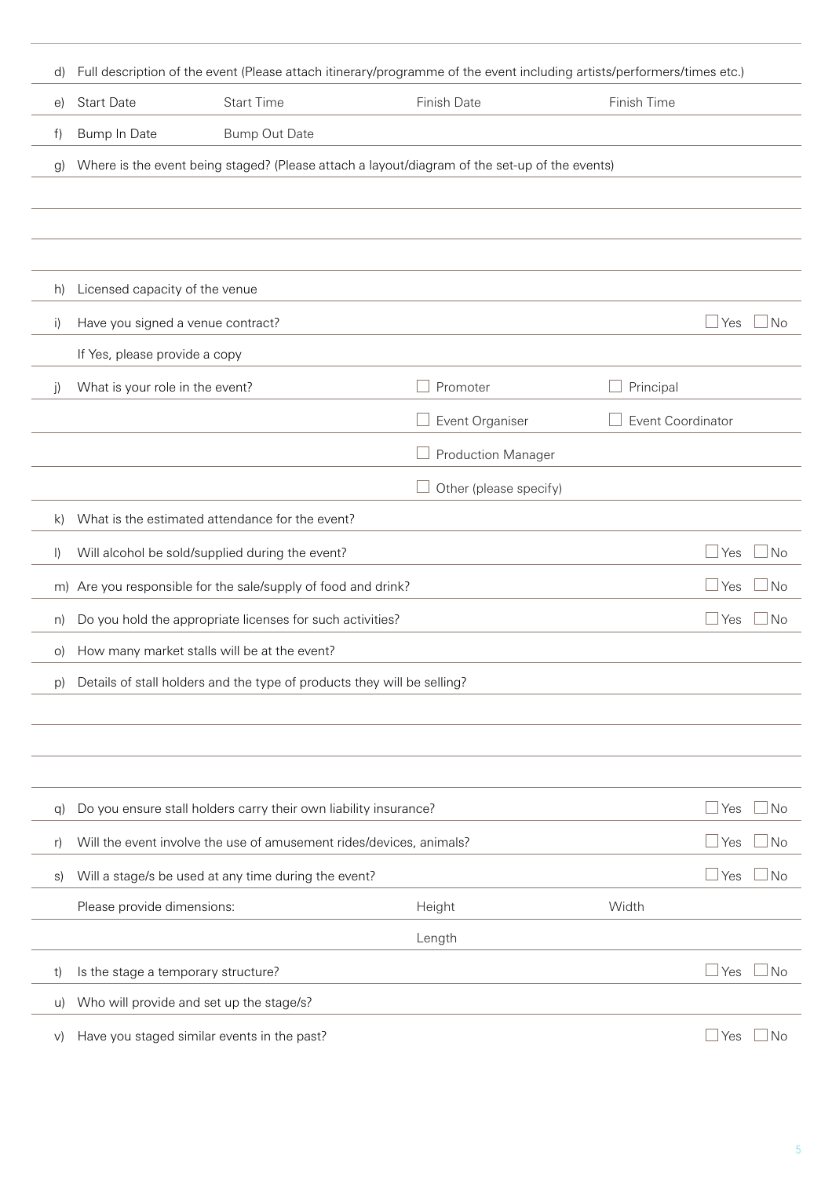| d)           |                                     |                                                                         | Full description of the event (Please attach itinerary/programme of the event including artists/performers/times etc.) |                   |                         |
|--------------|-------------------------------------|-------------------------------------------------------------------------|------------------------------------------------------------------------------------------------------------------------|-------------------|-------------------------|
| e)           | <b>Start Date</b>                   | <b>Start Time</b>                                                       | Finish Date                                                                                                            | Finish Time       |                         |
| f)           | Bump In Date                        | <b>Bump Out Date</b>                                                    |                                                                                                                        |                   |                         |
| g)           |                                     |                                                                         | Where is the event being staged? (Please attach a layout/diagram of the set-up of the events)                          |                   |                         |
|              |                                     |                                                                         |                                                                                                                        |                   |                         |
|              |                                     |                                                                         |                                                                                                                        |                   |                         |
|              |                                     |                                                                         |                                                                                                                        |                   |                         |
| h)           | Licensed capacity of the venue      |                                                                         |                                                                                                                        |                   |                         |
| $\vert$      | Have you signed a venue contract?   |                                                                         |                                                                                                                        |                   | Yes<br>No               |
|              | If Yes, please provide a copy       |                                                                         |                                                                                                                        |                   |                         |
| j)           | What is your role in the event?     |                                                                         | Promoter                                                                                                               | Principal         |                         |
|              |                                     |                                                                         | Event Organiser                                                                                                        | Event Coordinator |                         |
|              |                                     |                                                                         | <b>Production Manager</b>                                                                                              |                   |                         |
|              |                                     |                                                                         | Other (please specify)                                                                                                 |                   |                         |
| $\mathsf{k}$ |                                     | What is the estimated attendance for the event?                         |                                                                                                                        |                   |                         |
| $\vert$      |                                     | Will alcohol be sold/supplied during the event?                         |                                                                                                                        |                   | Yes<br><b>No</b>        |
| m)           |                                     | Are you responsible for the sale/supply of food and drink?              |                                                                                                                        |                   | Yes<br><b>No</b>        |
| n)           |                                     | Do you hold the appropriate licenses for such activities?               |                                                                                                                        |                   | Yes<br><b>No</b>        |
| O)           |                                     | How many market stalls will be at the event?                            |                                                                                                                        |                   |                         |
| p)           |                                     | Details of stall holders and the type of products they will be selling? |                                                                                                                        |                   |                         |
|              |                                     |                                                                         |                                                                                                                        |                   |                         |
|              |                                     |                                                                         |                                                                                                                        |                   |                         |
|              |                                     |                                                                         |                                                                                                                        |                   |                         |
| q)           |                                     | Do you ensure stall holders carry their own liability insurance?        |                                                                                                                        |                   | <b>No</b><br>Yes        |
| r)           |                                     | Will the event involve the use of amusement rides/devices, animals?     |                                                                                                                        |                   | No<br>Yes               |
|              |                                     |                                                                         |                                                                                                                        |                   |                         |
| S)           |                                     | Will a stage/s be used at any time during the event?                    |                                                                                                                        |                   | Yes<br>No               |
|              | Please provide dimensions:          |                                                                         | Height                                                                                                                 | Width             |                         |
|              |                                     |                                                                         | Length                                                                                                                 |                   |                         |
| t)           | Is the stage a temporary structure? |                                                                         |                                                                                                                        |                   | Yes<br><b>No</b>        |
| U)           |                                     | Who will provide and set up the stage/s?                                |                                                                                                                        |                   |                         |
| V)           |                                     | Have you staged similar events in the past?                             |                                                                                                                        |                   | $\Box$ Yes<br><b>No</b> |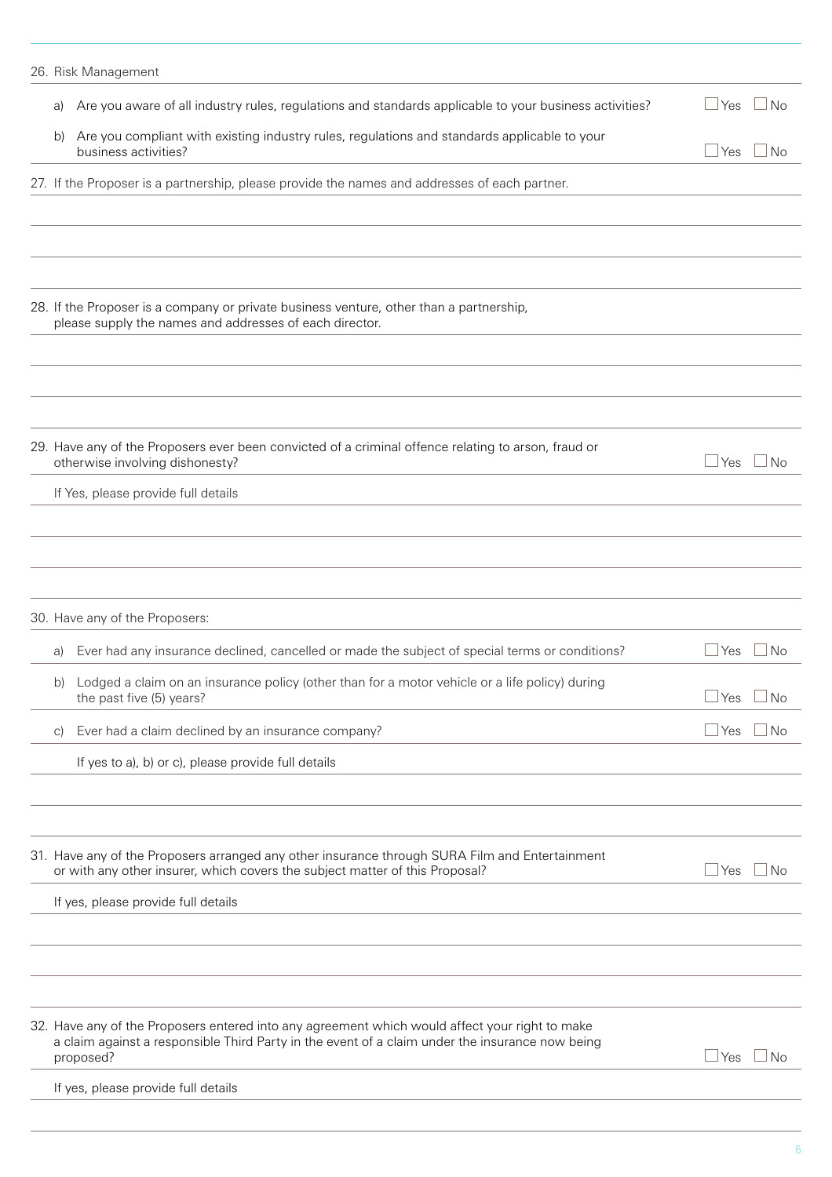|               | 26. Risk Management                                                                                                                                                                                            |              |             |
|---------------|----------------------------------------------------------------------------------------------------------------------------------------------------------------------------------------------------------------|--------------|-------------|
| a)            | Are you aware of all industry rules, regulations and standards applicable to your business activities?                                                                                                         | $\Box$ Yes   | $\Box$ No   |
| b)            | Are you compliant with existing industry rules, regulations and standards applicable to your<br>business activities?                                                                                           | $\Box$ Yes   | $\Box$ No   |
|               | 27. If the Proposer is a partnership, please provide the names and addresses of each partner.                                                                                                                  |              |             |
|               |                                                                                                                                                                                                                |              |             |
|               |                                                                                                                                                                                                                |              |             |
|               | 28. If the Proposer is a company or private business venture, other than a partnership,<br>please supply the names and addresses of each director.                                                             |              |             |
|               |                                                                                                                                                                                                                |              |             |
|               |                                                                                                                                                                                                                |              |             |
|               | 29. Have any of the Proposers ever been convicted of a criminal offence relating to arson, fraud or<br>otherwise involving dishonesty?                                                                         | $\Box$ Yes   | $\Box$ No   |
|               | If Yes, please provide full details                                                                                                                                                                            |              |             |
|               | 30. Have any of the Proposers:                                                                                                                                                                                 |              |             |
| a)            | Ever had any insurance declined, cancelled or made the subject of special terms or conditions?                                                                                                                 | $\sqcup$ Yes | $\sqcup$ No |
|               | b) Lodged a claim on an insurance policy (other than for a motor vehicle or a life policy) during<br>the past five (5) years?                                                                                  | $\Box$ Yes   | ⊿No         |
| $\mathcal{C}$ | Ever had a claim declined by an insurance company?                                                                                                                                                             | $\Box$ Yes   | ⊿No         |
|               | If yes to a), b) or c), please provide full details                                                                                                                                                            |              |             |
|               |                                                                                                                                                                                                                |              |             |
|               | 31. Have any of the Proposers arranged any other insurance through SURA Film and Entertainment<br>or with any other insurer, which covers the subject matter of this Proposal?                                 | $\Box$ Yes   | $\Box$ No   |
|               | If yes, please provide full details                                                                                                                                                                            |              |             |
|               |                                                                                                                                                                                                                |              |             |
|               |                                                                                                                                                                                                                |              |             |
|               | 32. Have any of the Proposers entered into any agreement which would affect your right to make<br>a claim against a responsible Third Party in the event of a claim under the insurance now being<br>proposed? | $\Box$ Yes   | $\Box$ No   |
|               | If yes, please provide full details                                                                                                                                                                            |              |             |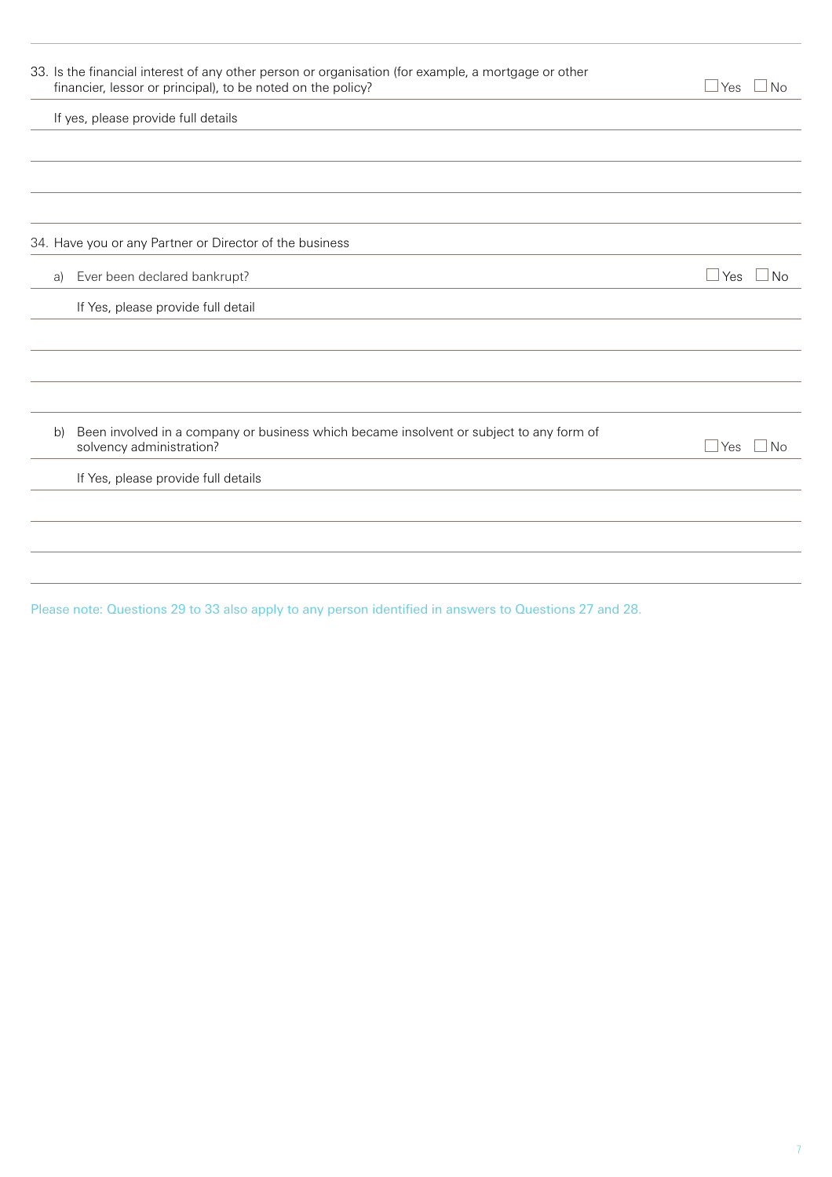|    | 33. Is the financial interest of any other person or organisation (for example, a mortgage or other<br>financier, lessor or principal), to be noted on the policy? | $\Box$ Yes $\Box$ No |
|----|--------------------------------------------------------------------------------------------------------------------------------------------------------------------|----------------------|
|    | If yes, please provide full details                                                                                                                                |                      |
|    |                                                                                                                                                                    |                      |
|    |                                                                                                                                                                    |                      |
|    | 34. Have you or any Partner or Director of the business                                                                                                            |                      |
| a) | Ever been declared bankrupt?                                                                                                                                       | $\Box$ Yes<br>No     |
|    | If Yes, please provide full detail                                                                                                                                 |                      |
|    |                                                                                                                                                                    |                      |
|    |                                                                                                                                                                    |                      |
|    |                                                                                                                                                                    |                      |
| b) | Been involved in a company or business which became insolvent or subject to any form of<br>solvency administration?                                                | $\Box$ Yes $\Box$ No |
|    | If Yes, please provide full details                                                                                                                                |                      |
|    |                                                                                                                                                                    |                      |
|    |                                                                                                                                                                    |                      |
|    |                                                                                                                                                                    |                      |

Please note: Questions 29 to 33 also apply to any person identified in answers to Questions 27 and 28.